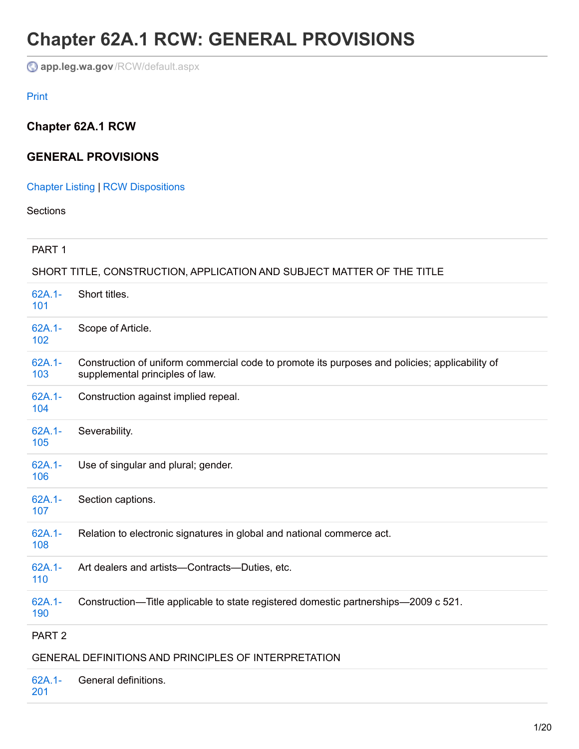# **Chapter 62A.1 RCW: GENERAL PROVISIONS**

**app.leg.wa.gov**[/RCW/default.aspx](http://app.leg.wa.gov/RCW/default.aspx?cite=62A.1&full=true#62A.1-103)

#### Print

# **Chapter 62A.1 RCW**

## **GENERAL PROVISIONS**

## [Chapter](http://app.leg.wa.gov/RCW/default.aspx?cite=62A.1) Listing | RCW [Dispositions](http://app.leg.wa.gov/RCW/dispo.aspx?cite=62A.1)

**Sections** 

#### PART 1

#### SHORT TITLE, CONSTRUCTION, APPLICATION AND SUBJECT MATTER OF THE TITLE

| 62A.1-<br>101     | Short titles.                                                                                                                     |
|-------------------|-----------------------------------------------------------------------------------------------------------------------------------|
| $62A.1 -$<br>102  | Scope of Article.                                                                                                                 |
| $62A.1 -$<br>103  | Construction of uniform commercial code to promote its purposes and policies; applicability of<br>supplemental principles of law. |
| 62A.1-<br>104     | Construction against implied repeal.                                                                                              |
| 62A.1-<br>105     | Severability.                                                                                                                     |
| 62A.1-<br>106     | Use of singular and plural; gender.                                                                                               |
| $62A.1 -$<br>107  | Section captions.                                                                                                                 |
| 62A.1-<br>108     | Relation to electronic signatures in global and national commerce act.                                                            |
| 62A.1-<br>110     | Art dealers and artists-Contracts-Duties, etc.                                                                                    |
| $62A.1 -$<br>190  | Construction—Title applicable to state registered domestic partnerships—2009 c 521.                                               |
| PART <sub>2</sub> |                                                                                                                                   |
|                   | GENERAL DEFINITIONS AND PRINCIPLES OF INTERPRETATION                                                                              |

| 62A.1- General definitions. |  |
|-----------------------------|--|
|                             |  |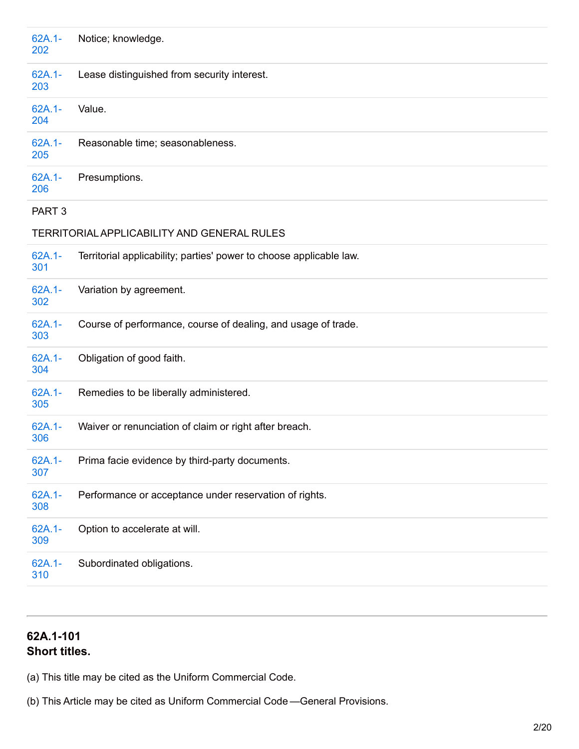| 62A.1-<br>202     | Notice; knowledge.                                                  |
|-------------------|---------------------------------------------------------------------|
| 62A.1-<br>203     | Lease distinguished from security interest.                         |
| 62A.1-<br>204     | Value.                                                              |
| $62A.1 -$<br>205  | Reasonable time; seasonableness.                                    |
| $62A.1 -$<br>206  | Presumptions.                                                       |
| PART <sub>3</sub> |                                                                     |
|                   | TERRITORIAL APPLICABILITY AND GENERAL RULES                         |
| 62A.1-<br>301     | Territorial applicability; parties' power to choose applicable law. |
| 62A.1-<br>302     | Variation by agreement.                                             |
| 62A.1-<br>303     | Course of performance, course of dealing, and usage of trade.       |
| 62A.1-<br>304     | Obligation of good faith.                                           |
| 62A.1-<br>305     | Remedies to be liberally administered.                              |
| 62A.1-<br>306     | Waiver or renunciation of claim or right after breach.              |
| 62A.1-<br>307     | Prima facie evidence by third-party documents.                      |
| 62A.1-<br>308     | Performance or acceptance under reservation of rights.              |
| 62A.1-<br>309     | Option to accelerate at will.                                       |
| 62A.1-<br>310     | Subordinated obligations.                                           |

# **62A.1-101 Short titles.**

(a) This title may be cited as the Uniform Commercial Code.

(b) This Article may be cited as Uniform Commercial Code —General Provisions.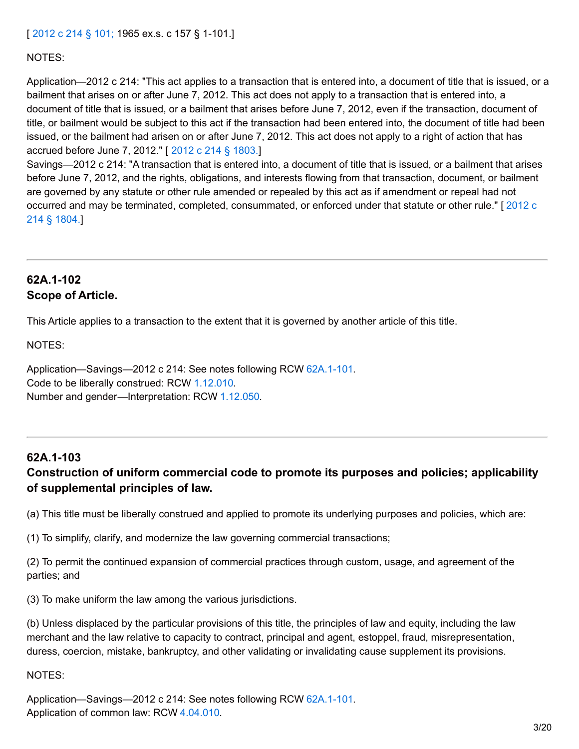#### [ [2012](http://lawfilesext.leg.wa.gov/biennium/2011-12/Pdf/Bills/Session Laws/House/2197-S.SL.pdf?cite=2012 c 214 %C2%A7 101;) c 214 § 101; 1965 ex.s. c 157 § 1-101.]

#### NOTES:

Application—2012 c 214: "This act applies to a transaction that is entered into, a document of title that is issued, or a bailment that arises on or after June 7, 2012. This act does not apply to a transaction that is entered into, a document of title that is issued, or a bailment that arises before June 7, 2012, even if the transaction, document of title, or bailment would be subject to this act if the transaction had been entered into, the document of title had been issued, or the bailment had arisen on or after June 7, 2012. This act does not apply to a right of action that has accrued before June 7, 2012." [ 2012 c 214 § [1803.](http://lawfilesext.leg.wa.gov/biennium/2011-12/Pdf/Bills/Session Laws/House/2197-S.SL.pdf?cite=2012 c 214 %C2%A7 1803.)]

Savings—2012 c 214: "A transaction that is entered into, a document of title that is issued, or a bailment that arises before June 7, 2012, and the rights, obligations, and interests flowing from that transaction, document, or bailment are governed by any statute or other rule amended or repealed by this act as if amendment or repeal had not occurred and may be terminated, completed, [consummated,](http://lawfilesext.leg.wa.gov/biennium/2011-12/Pdf/Bills/Session Laws/House/2197-S.SL.pdf?cite=2012 c 214 %C2%A7 1804.) or enforced under that statute or other rule." [ 2012 c 214 § 1804.]

## **62A.1-102 Scope of Article.**

This Article applies to a transaction to the extent that it is governed by another article of this title.

NOTES:

Application—Savings—2012 c 214: See notes following RCW 62A.1-101. Code to be liberally construed: RCW [1.12.010](http://app.leg.wa.gov/RCW/default.aspx?cite=1.12.010). Number and gender—Interpretation: RCW [1.12.050](http://app.leg.wa.gov/RCW/default.aspx?cite=1.12.050).

#### **62A.1-103**

## **Construction of uniform commercial code to promote its purposes and policies; applicability of supplemental principles of law.**

(a) This title must be liberally construed and applied to promote its underlying purposes and policies, which are:

(1) To simplify, clarify, and modernize the law governing commercial transactions;

(2) To permit the continued expansion of commercial practices through custom, usage, and agreement of the parties; and

(3) To make uniform the law among the various jurisdictions.

(b) Unless displaced by the particular provisions of this title, the principles of law and equity, including the law merchant and the law relative to capacity to contract, principal and agent, estoppel, fraud, misrepresentation, duress, coercion, mistake, bankruptcy, and other validating or invalidating cause supplement its provisions.

NOTES:

Application—Savings—2012 c 214: See notes following RCW 62A.1-101. Application of common law: RCW [4.04.010](http://app.leg.wa.gov/RCW/default.aspx?cite=4.04.010).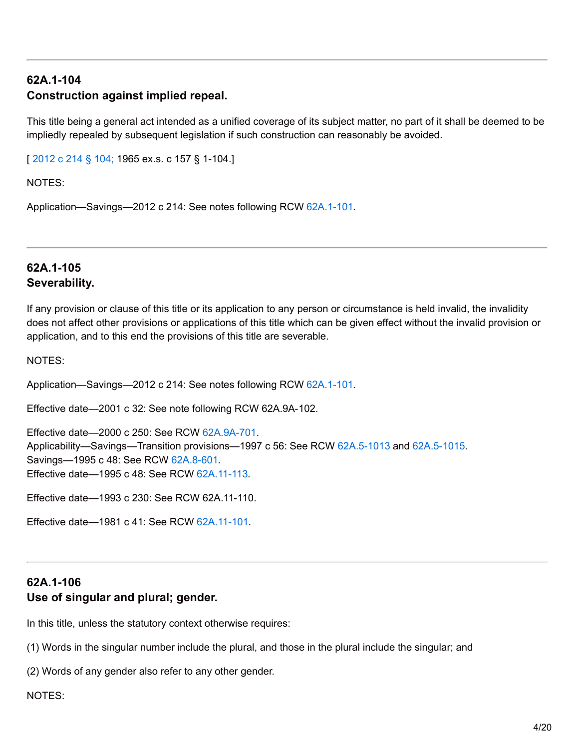# **62A.1-104 Construction against implied repeal.**

This title being a general act intended as a unified coverage of its subject matter, no part of it shall be deemed to be impliedly repealed by subsequent legislation if such construction can reasonably be avoided.

[ [2012](http://lawfilesext.leg.wa.gov/biennium/2011-12/Pdf/Bills/Session Laws/House/2197-S.SL.pdf?cite=2012 c 214 %C2%A7 104;) c 214 § 104; 1965 ex.s. c 157 § 1-104.]

NOTES:

Application—Savings—2012 c 214: See notes following RCW 62A.1-101.

## **62A.1-105 Severability.**

If any provision or clause of this title or its application to any person or circumstance is held invalid, the invalidity does not affect other provisions or applications of this title which can be given effect without the invalid provision or application, and to this end the provisions of this title are severable.

NOTES:

Application—Savings—2012 c 214: See notes following RCW 62A.1-101.

Effective date—2001 c 32: See note following RCW 62A.9A-102.

Effective date—2000 c 250: See RCW [62A.9A-701](http://app.leg.wa.gov/RCW/default.aspx?cite=62A.9A-701). Applicability—Savings—Transition provisions—1997 c 56: See RCW [62A.5-1013](http://app.leg.wa.gov/RCW/default.aspx?cite=62A.5-1013) and [62A.5-1015](http://app.leg.wa.gov/RCW/default.aspx?cite=62A.5-1015). Savings—1995 c 48: See RCW [62A.8-601](http://app.leg.wa.gov/RCW/default.aspx?cite=62A.8-601). Effective date—1995 c 48: See RCW [62A.11-113.](http://app.leg.wa.gov/RCW/default.aspx?cite=62A.11-113)

Effective date—1993 c 230: See RCW 62A.11-110.

Effective date—1981 c 41: See RCW [62A.11-101](http://app.leg.wa.gov/RCW/default.aspx?cite=62A.11-101).

# **62A.1-106 Use of singular and plural; gender.**

In this title, unless the statutory context otherwise requires:

(1) Words in the singular number include the plural, and those in the plural include the singular; and

(2) Words of any gender also refer to any other gender.

NOTES: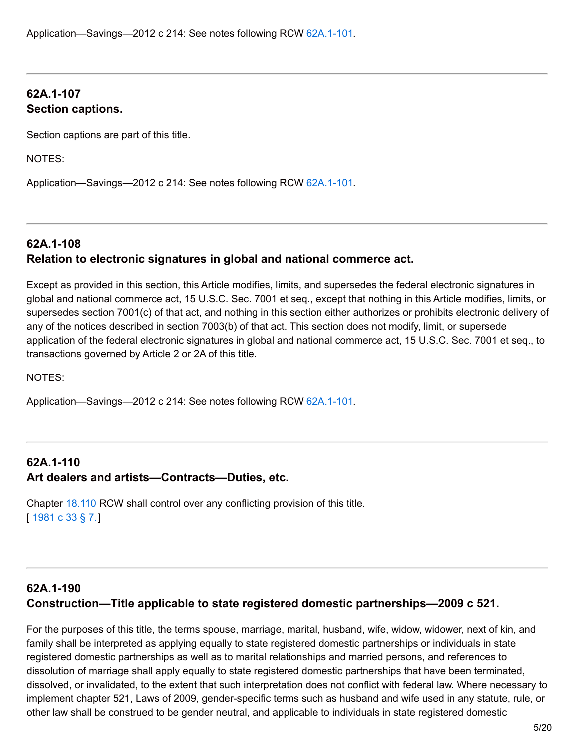# **62A.1-107 Section captions.**

Section captions are part of this title.

NOTES:

Application—Savings—2012 c 214: See notes following RCW 62A.1-101.

# **62A.1-108 Relation to electronic signatures in global and national commerce act.**

Except as provided in this section, this Article modifies, limits, and supersedes the federal electronic signatures in global and national commerce act, 15 U.S.C. Sec. 7001 et seq., except that nothing in this Article modifies, limits, or supersedes section 7001(c) of that act, and nothing in this section either authorizes or prohibits electronic delivery of any of the notices described in section 7003(b) of that act. This section does not modify, limit, or supersede application of the federal electronic signatures in global and national commerce act, 15 U.S.C. Sec. 7001 et seq., to transactions governed by Article 2 or 2A of this title.

NOTES:

Application—Savings—2012 c 214: See notes following RCW 62A.1-101.

# **62A.1-110 Art dealers and artists—Contracts—Duties, etc.**

Chapter [18.110](http://app.leg.wa.gov/RCW/default.aspx?cite=18.110) RCW shall control over any conflicting provision of this title. [ [1981](http://leg.wa.gov/CodeReviser/documents/sessionlaw/1981c33.pdf?cite=1981 c 33 %C2%A7 7.) c 33 § 7.]

# **62A.1-190 Construction—Title applicable to state registered domestic partnerships—2009 c 521.**

For the purposes of this title, the terms spouse, marriage, marital, husband, wife, widow, widower, next of kin, and family shall be interpreted as applying equally to state registered domestic partnerships or individuals in state registered domestic partnerships as well as to marital relationships and married persons, and references to dissolution of marriage shall apply equally to state registered domestic partnerships that have been terminated, dissolved, or invalidated, to the extent that such interpretation does not conflict with federal law. Where necessary to implement chapter 521, Laws of 2009, gender-specific terms such as husband and wife used in any statute, rule, or other law shall be construed to be gender neutral, and applicable to individuals in state registered domestic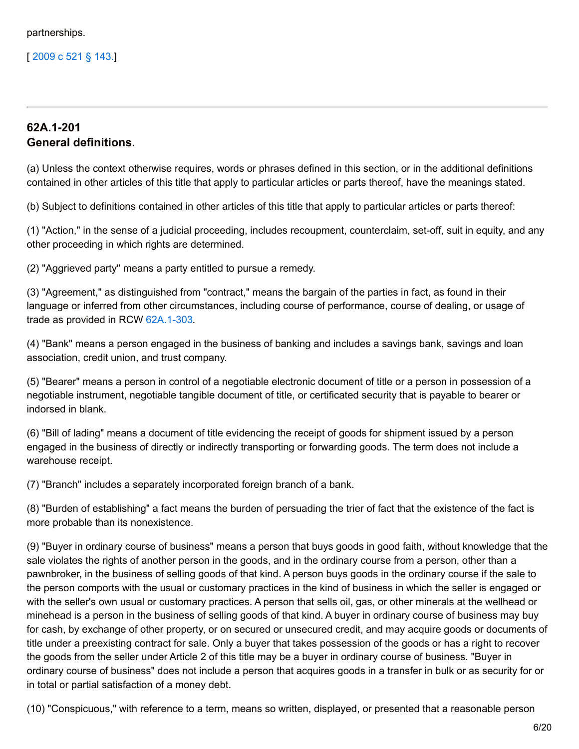[ [2009](http://lawfilesext.leg.wa.gov/biennium/2009-10/Pdf/Bills/Session Laws/Senate/5688-S2.SL.pdf?cite=2009 c 521 %C2%A7 143.) c 521 § 143.]

## **62A.1-201 General definitions.**

(a) Unless the context otherwise requires, words or phrases defined in this section, or in the additional definitions contained in other articles of this title that apply to particular articles or parts thereof, have the meanings stated.

(b) Subject to definitions contained in other articles of this title that apply to particular articles or parts thereof:

(1) "Action," in the sense of a judicial proceeding, includes recoupment, counterclaim, set-off, suit in equity, and any other proceeding in which rights are determined.

(2) "Aggrieved party" means a party entitled to pursue a remedy.

(3) "Agreement," as distinguished from "contract," means the bargain of the parties in fact, as found in their language or inferred from other circumstances, including course of performance, course of dealing, or usage of trade as provided in RCW 62A.1-303.

(4) "Bank" means a person engaged in the business of banking and includes a savings bank, savings and loan association, credit union, and trust company.

(5) "Bearer" means a person in control of a negotiable electronic document of title or a person in possession of a negotiable instrument, negotiable tangible document of title, or certificated security that is payable to bearer or indorsed in blank.

(6) "Bill of lading" means a document of title evidencing the receipt of goods for shipment issued by a person engaged in the business of directly or indirectly transporting or forwarding goods. The term does not include a warehouse receipt.

(7) "Branch" includes a separately incorporated foreign branch of a bank.

(8) "Burden of establishing" a fact means the burden of persuading the trier of fact that the existence of the fact is more probable than its nonexistence.

(9) "Buyer in ordinary course of business" means a person that buys goods in good faith, without knowledge that the sale violates the rights of another person in the goods, and in the ordinary course from a person, other than a pawnbroker, in the business of selling goods of that kind. A person buys goods in the ordinary course if the sale to the person comports with the usual or customary practices in the kind of business in which the seller is engaged or with the seller's own usual or customary practices. A person that sells oil, gas, or other minerals at the wellhead or minehead is a person in the business of selling goods of that kind. A buyer in ordinary course of business may buy for cash, by exchange of other property, or on secured or unsecured credit, and may acquire goods or documents of title under a preexisting contract for sale. Only a buyer that takes possession of the goods or has a right to recover the goods from the seller under Article 2 of this title may be a buyer in ordinary course of business. "Buyer in ordinary course of business" does not include a person that acquires goods in a transfer in bulk or as security for or in total or partial satisfaction of a money debt.

(10) "Conspicuous," with reference to a term, means so written, displayed, or presented that a reasonable person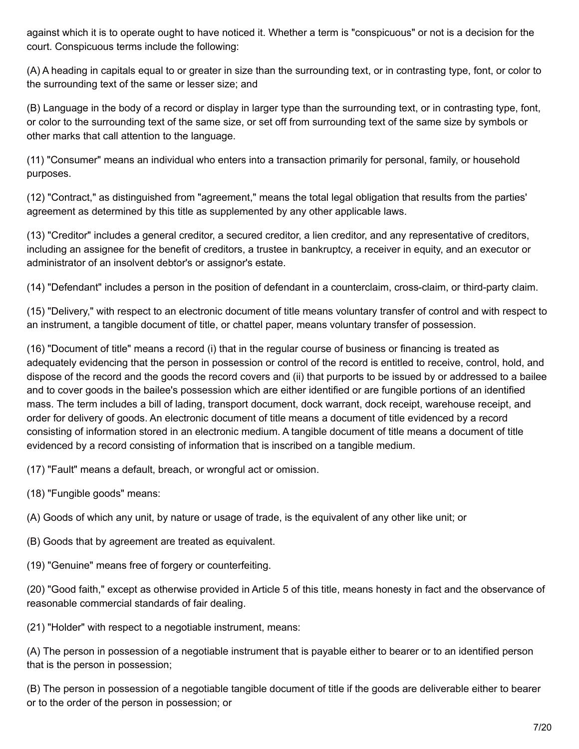against which it is to operate ought to have noticed it. Whether a term is "conspicuous" or not is a decision for the court. Conspicuous terms include the following:

(A) A heading in capitals equal to or greater in size than the surrounding text, or in contrasting type, font, or color to the surrounding text of the same or lesser size; and

(B) Language in the body of a record or display in larger type than the surrounding text, or in contrasting type, font, or color to the surrounding text of the same size, or set off from surrounding text of the same size by symbols or other marks that call attention to the language.

(11) "Consumer" means an individual who enters into a transaction primarily for personal, family, or household purposes.

(12) "Contract," as distinguished from "agreement," means the total legal obligation that results from the parties' agreement as determined by this title as supplemented by any other applicable laws.

(13) "Creditor" includes a general creditor, a secured creditor, a lien creditor, and any representative of creditors, including an assignee for the benefit of creditors, a trustee in bankruptcy, a receiver in equity, and an executor or administrator of an insolvent debtor's or assignor's estate.

(14) "Defendant" includes a person in the position of defendant in a counterclaim, cross-claim, or third-party claim.

(15) "Delivery," with respect to an electronic document of title means voluntary transfer of control and with respect to an instrument, a tangible document of title, or chattel paper, means voluntary transfer of possession.

(16) "Document of title" means a record (i) that in the regular course of business or financing is treated as adequately evidencing that the person in possession or control of the record is entitled to receive, control, hold, and dispose of the record and the goods the record covers and (ii) that purports to be issued by or addressed to a bailee and to cover goods in the bailee's possession which are either identified or are fungible portions of an identified mass. The term includes a bill of lading, transport document, dock warrant, dock receipt, warehouse receipt, and order for delivery of goods. An electronic document of title means a document of title evidenced by a record consisting of information stored in an electronic medium. A tangible document of title means a document of title evidenced by a record consisting of information that is inscribed on a tangible medium.

(17) "Fault" means a default, breach, or wrongful act or omission.

(18) "Fungible goods" means:

(A) Goods of which any unit, by nature or usage of trade, is the equivalent of any other like unit; or

- (B) Goods that by agreement are treated as equivalent.
- (19) "Genuine" means free of forgery or counterfeiting.

(20) "Good faith," except as otherwise provided in Article 5 of this title, means honesty in fact and the observance of reasonable commercial standards of fair dealing.

(21) "Holder" with respect to a negotiable instrument, means:

(A) The person in possession of a negotiable instrument that is payable either to bearer or to an identified person that is the person in possession;

(B) The person in possession of a negotiable tangible document of title if the goods are deliverable either to bearer or to the order of the person in possession; or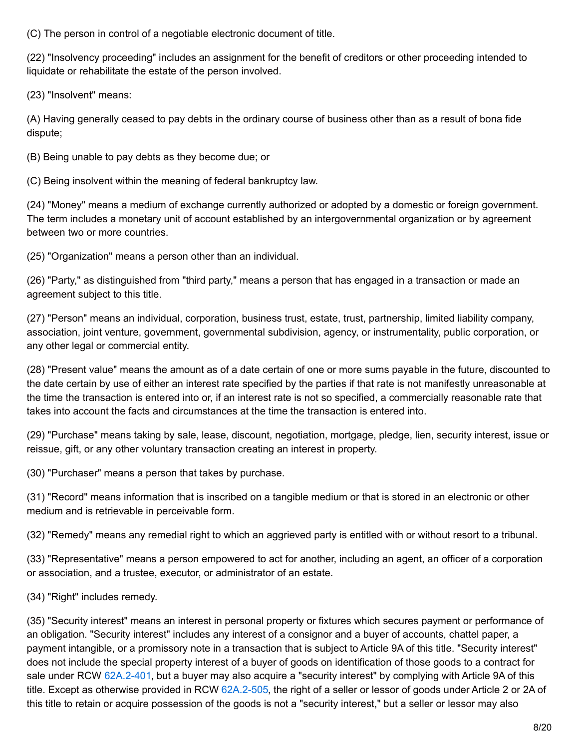(C) The person in control of a negotiable electronic document of title.

(22) "Insolvency proceeding" includes an assignment for the benefit of creditors or other proceeding intended to liquidate or rehabilitate the estate of the person involved.

(23) "Insolvent" means:

(A) Having generally ceased to pay debts in the ordinary course of business other than as a result of bona fide dispute;

(B) Being unable to pay debts as they become due; or

(C) Being insolvent within the meaning of federal bankruptcy law.

(24) "Money" means a medium of exchange currently authorized or adopted by a domestic or foreign government. The term includes a monetary unit of account established by an intergovernmental organization or by agreement between two or more countries.

(25) "Organization" means a person other than an individual.

(26) "Party," as distinguished from "third party," means a person that has engaged in a transaction or made an agreement subject to this title.

(27) "Person" means an individual, corporation, business trust, estate, trust, partnership, limited liability company, association, joint venture, government, governmental subdivision, agency, or instrumentality, public corporation, or any other legal or commercial entity.

(28) "Present value" means the amount as of a date certain of one or more sums payable in the future, discounted to the date certain by use of either an interest rate specified by the parties if that rate is not manifestly unreasonable at the time the transaction is entered into or, if an interest rate is not so specified, a commercially reasonable rate that takes into account the facts and circumstances at the time the transaction is entered into.

(29) "Purchase" means taking by sale, lease, discount, negotiation, mortgage, pledge, lien, security interest, issue or reissue, gift, or any other voluntary transaction creating an interest in property.

(30) "Purchaser" means a person that takes by purchase.

(31) "Record" means information that is inscribed on a tangible medium or that is stored in an electronic or other medium and is retrievable in perceivable form.

(32) "Remedy" means any remedial right to which an aggrieved party is entitled with or without resort to a tribunal.

(33) "Representative" means a person empowered to act for another, including an agent, an officer of a corporation or association, and a trustee, executor, or administrator of an estate.

(34) "Right" includes remedy.

(35) "Security interest" means an interest in personal property or fixtures which secures payment or performance of an obligation. "Security interest" includes any interest of a consignor and a buyer of accounts, chattel paper, a payment intangible, or a promissory note in a transaction that is subject to Article 9A of this title. "Security interest" does not include the special property interest of a buyer of goods on identification of those goods to a contract for sale under RCW [62A.2-401](http://app.leg.wa.gov/RCW/default.aspx?cite=62A.2-401), but a buyer may also acquire a "security interest" by complying with Article 9A of this title. Except as otherwise provided in RCW [62A.2-505](http://app.leg.wa.gov/RCW/default.aspx?cite=62A.2-505), the right of a seller or lessor of goods under Article 2 or 2A of this title to retain or acquire possession of the goods is not a "security interest," but a seller or lessor may also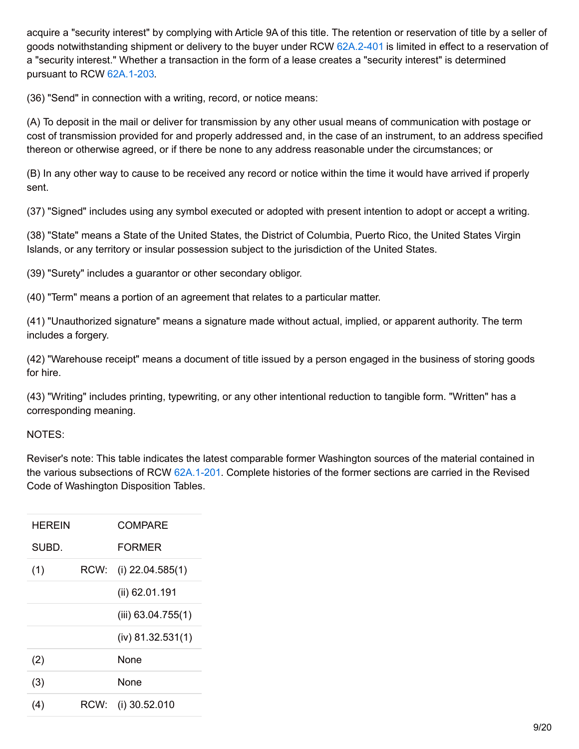acquire a "security interest" by complying with Article 9A of this title. The retention or reservation of title by a seller of goods notwithstanding shipment or delivery to the buyer under RCW [62A.2-401](http://app.leg.wa.gov/RCW/default.aspx?cite=62A.2-401) is limited in effect to a reservation of a "security interest." Whether a transaction in the form of a lease creates a "security interest" is determined pursuant to RCW 62A.1-203.

(36) "Send" in connection with a writing, record, or notice means:

(A) To deposit in the mail or deliver for transmission by any other usual means of communication with postage or cost of transmission provided for and properly addressed and, in the case of an instrument, to an address specified thereon or otherwise agreed, or if there be none to any address reasonable under the circumstances; or

(B) In any other way to cause to be received any record or notice within the time it would have arrived if properly sent.

(37) "Signed" includes using any symbol executed or adopted with present intention to adopt or accept a writing.

(38) "State" means a State of the United States, the District of Columbia, Puerto Rico, the United States Virgin Islands, or any territory or insular possession subject to the jurisdiction of the United States.

(39) "Surety" includes a guarantor or other secondary obligor.

(40) "Term" means a portion of an agreement that relates to a particular matter.

(41) "Unauthorized signature" means a signature made without actual, implied, or apparent authority. The term includes a forgery.

(42) "Warehouse receipt" means a document of title issued by a person engaged in the business of storing goods for hire.

(43) "Writing" includes printing, typewriting, or any other intentional reduction to tangible form. "Written" has a corresponding meaning.

#### NOTES:

Reviser's note: This table indicates the latest comparable former Washington sources of the material contained in the various subsections of RCW 62A.1-201. Complete histories of the former sections are carried in the Revised Code of Washington Disposition Tables.

| HEREIN |      | COMPARE              |
|--------|------|----------------------|
| SUBD.  |      | <b>FORMER</b>        |
| (1)    | RCW: | (i) $22.04.585(1)$   |
|        |      | (ii) 62.01.191       |
|        |      | (iii) $63.04.755(1)$ |
|        |      | $(iv)$ 81.32.531(1)  |
| (2)    |      | <b>None</b>          |
| (3)    |      | None                 |
| (4)    | RCW: | (i) 30.52.010        |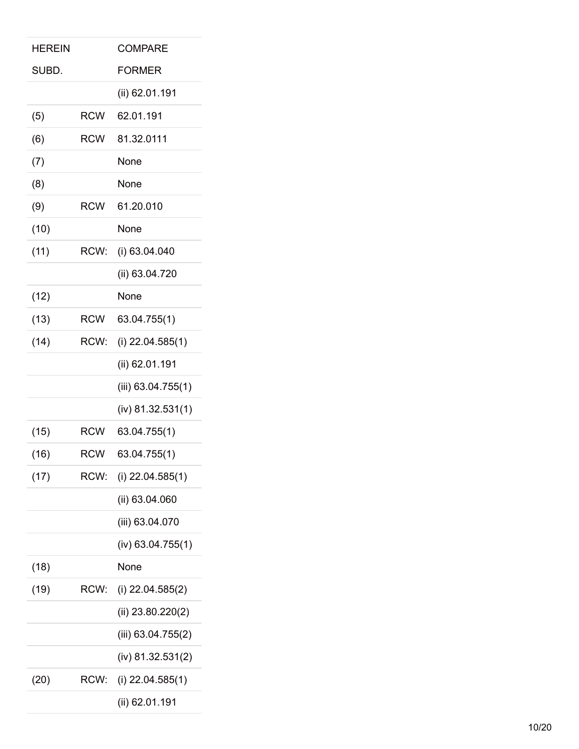| HEREIN |            | <b>COMPARE</b>       |
|--------|------------|----------------------|
| SUBD.  |            | <b>FORMER</b>        |
|        |            | (ii) 62.01.191       |
| (5)    | <b>RCW</b> | 62.01.191            |
| (6)    | <b>RCW</b> | 81.32.0111           |
| (7)    |            | None                 |
| (8)    |            | None                 |
| (9)    | <b>RCW</b> | 61.20.010            |
| (10)   |            | None                 |
| (11)   | RCW:       | (i) 63.04.040        |
|        |            | (ii) 63.04.720       |
| (12)   |            | None                 |
| (13)   | <b>RCW</b> | 63.04.755(1)         |
| (14)   | RCW:       | (i) $22.04.585(1)$   |
|        |            | (ii) 62.01.191       |
|        |            | (iii) $63.04.755(1)$ |
|        |            | $(iv)$ 81.32.531(1)  |
| (15)   | <b>RCW</b> | 63.04.755(1)         |
| (16)   | <b>RCW</b> | 63.04.755(1)         |
| (17)   | RCW:       | (i) $22.04.585(1)$   |
|        |            | (ii) 63.04.060       |
|        |            | (iii) 63.04.070      |
|        |            | $(iv)$ 63.04.755(1)  |
| (18)   |            | None                 |
| (19)   | RCW:       | (i) $22.04.585(2)$   |
|        |            | (ii) $23.80.220(2)$  |
|        |            | $(iii)$ 63.04.755(2) |
|        |            | $(iv)$ 81.32.531(2)  |
| (20)   | RCW:       | $(i)$ 22.04.585(1)   |
|        |            | (ii) 62.01.191       |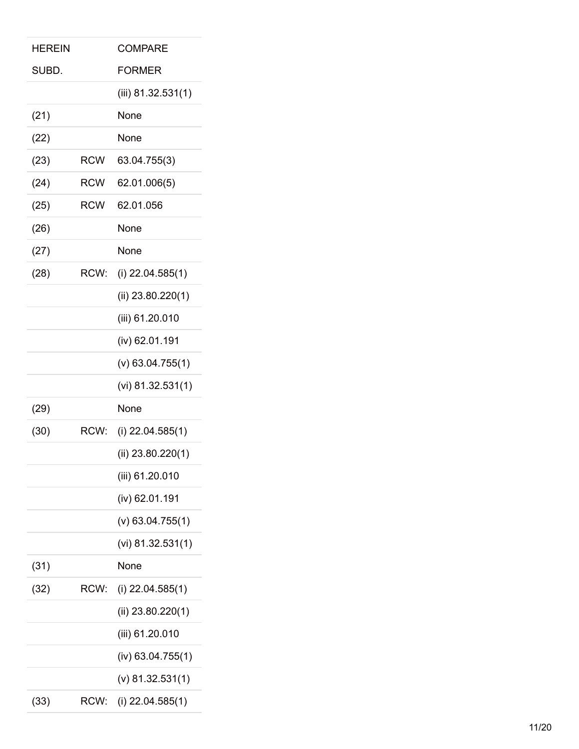| <b>HEREIN</b> |            | <b>COMPARE</b>       |
|---------------|------------|----------------------|
| SUBD.         |            | <b>FORMER</b>        |
|               |            | (iii) $81.32.531(1)$ |
| (21)          |            | None                 |
| (22)          |            | None                 |
| (23)          | <b>RCW</b> | 63.04.755(3)         |
| (24)          | <b>RCW</b> | 62.01.006(5)         |
| (25)          | <b>RCW</b> | 62.01.056            |
| (26)          |            | None                 |
| (27)          |            | None                 |
| (28)          | RCW:       | (i) $22.04.585(1)$   |
|               |            | (ii) $23.80.220(1)$  |
|               |            | (iii) 61.20.010      |
|               |            | (iv) 62.01.191       |
|               |            | $(v)$ 63.04.755(1)   |
|               |            |                      |
|               |            | (vi) $81.32.531(1)$  |
| (29)          |            | None                 |
| (30)          | RCW:       | (i) $22.04.585(1)$   |
|               |            | (ii) $23.80.220(1)$  |
|               |            | (iii) 61.20.010      |
|               |            | (iv) 62.01.191       |
|               |            | $(v)$ 63.04.755(1)   |
|               |            | (vi) $81.32.531(1)$  |
| (31)          |            | None                 |
| (32)          | RCW:       | (i) $22.04.585(1)$   |
|               |            | (ii) $23.80.220(1)$  |
|               |            | (iii) 61.20.010      |
|               |            | $(iv)$ 63.04.755(1)  |
|               |            | $(v)$ 81.32.531(1)   |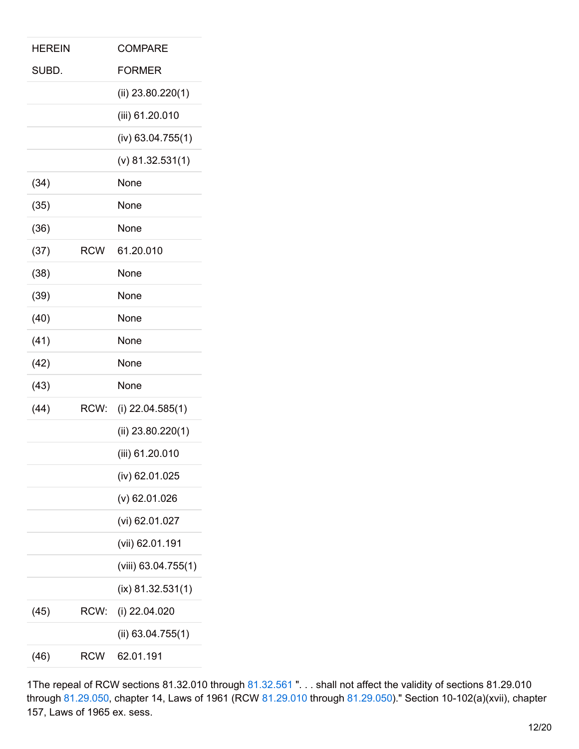| <b>HEREIN</b> |            | <b>COMPARE</b>        |
|---------------|------------|-----------------------|
| SUBD.         |            | <b>FORMER</b>         |
|               |            | (ii) $23.80.220(1)$   |
|               |            | (iii) 61.20.010       |
|               |            | $(iv)$ 63.04.755(1)   |
|               |            | $(v)$ 81.32.531(1)    |
| (34)          |            | None                  |
| (35)          |            | None                  |
| (36)          |            | None                  |
| (37)          | <b>RCW</b> | 61.20.010             |
| (38)          |            | None                  |
| (39)          |            | None                  |
| (40)          |            | None                  |
| (41)          |            | None                  |
| (42)          |            | None                  |
| (43)          |            | None                  |
| (44)          | RCW:       | (i) $22.04.585(1)$    |
|               |            | (ii) $23.80.220(1)$   |
|               |            | (iii) 61.20.010       |
|               |            | (iv) 62.01.025        |
|               |            | $(v)$ 62.01.026       |
|               |            | (vi) 62.01.027        |
|               |            | (vii) 62.01.191       |
|               |            | $(viii)$ 63.04.755(1) |
|               |            | $(ix)$ 81.32.531(1)   |
| (45)          | RCW:       | (i) 22.04.020         |
|               |            | (ii) $63.04.755(1)$   |
| (46)          | <b>RCW</b> | 62.01.191             |
|               |            |                       |

1The repeal of RCW sections 81.32.010 through [81.32.561](http://app.leg.wa.gov/RCW/default.aspx?cite=81.32.561) ". . . shall not affect the validity of sections 81.29.010 through [81.29.050](http://app.leg.wa.gov/RCW/default.aspx?cite=81.29.050), chapter 14, Laws of 1961 (RCW [81.29.010](http://app.leg.wa.gov/RCW/default.aspx?cite=81.29.010) through [81.29.050](http://app.leg.wa.gov/RCW/default.aspx?cite=81.29.050))." Section 10-102(a)(xvii), chapter 157, Laws of 1965 ex. sess.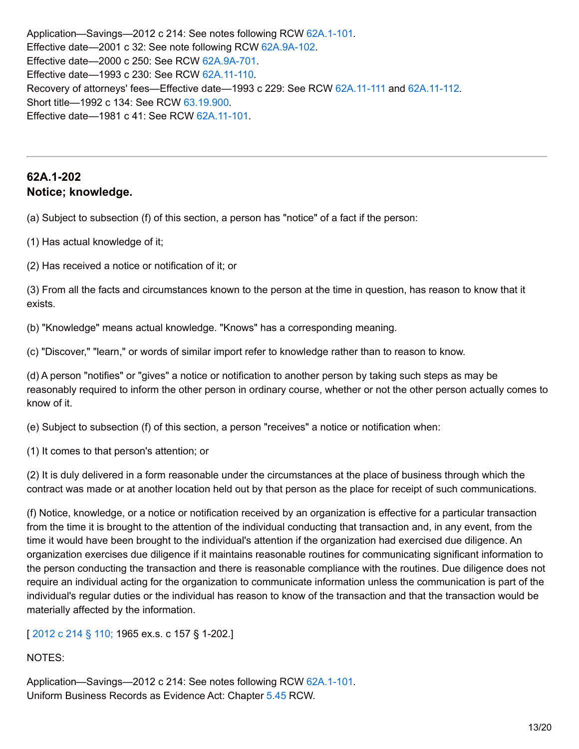Application—Savings—2012 c 214: See notes following RCW 62A.1-101. Effective date—2001 c 32: See note following RCW [62A.9A-102](http://app.leg.wa.gov/RCW/default.aspx?cite=62A.9A-102). Effective date—2000 c 250: See RCW [62A.9A-701](http://app.leg.wa.gov/RCW/default.aspx?cite=62A.9A-701). Effective date—1993 c 230: See RCW [62A.11-110](http://app.leg.wa.gov/RCW/default.aspx?cite=62A.11-110). Recovery of attorneys' fees—Effective date—1993 c 229: See RCW [62A.11-111](http://app.leg.wa.gov/RCW/default.aspx?cite=62A.11-111) and [62A.11-112](http://app.leg.wa.gov/RCW/default.aspx?cite=62A.11-112). Short title—1992 c 134: See RCW [63.19.900](http://app.leg.wa.gov/RCW/default.aspx?cite=63.19.900). Effective date—1981 c 41: See RCW [62A.11-101](http://app.leg.wa.gov/RCW/default.aspx?cite=62A.11-101).

# **62A.1-202 Notice; knowledge.**

(a) Subject to subsection (f) of this section, a person has "notice" of a fact if the person:

(1) Has actual knowledge of it;

(2) Has received a notice or notification of it; or

(3) From all the facts and circumstances known to the person at the time in question, has reason to know that it exists.

(b) "Knowledge" means actual knowledge. "Knows" has a corresponding meaning.

(c) "Discover," "learn," or words of similar import refer to knowledge rather than to reason to know.

(d) A person "notifies" or "gives" a notice or notification to another person by taking such steps as may be reasonably required to inform the other person in ordinary course, whether or not the other person actually comes to know of it.

(e) Subject to subsection (f) of this section, a person "receives" a notice or notification when:

(1) It comes to that person's attention; or

(2) It is duly delivered in a form reasonable under the circumstances at the place of business through which the contract was made or at another location held out by that person as the place for receipt of such communications.

(f) Notice, knowledge, or a notice or notification received by an organization is effective for a particular transaction from the time it is brought to the attention of the individual conducting that transaction and, in any event, from the time it would have been brought to the individual's attention if the organization had exercised due diligence. An organization exercises due diligence if it maintains reasonable routines for communicating significant information to the person conducting the transaction and there is reasonable compliance with the routines. Due diligence does not require an individual acting for the organization to communicate information unless the communication is part of the individual's regular duties or the individual has reason to know of the transaction and that the transaction would be materially affected by the information.

[ [2012](http://lawfilesext.leg.wa.gov/biennium/2011-12/Pdf/Bills/Session Laws/House/2197-S.SL.pdf?cite=2012 c 214 %C2%A7 110;) c 214 § 110; 1965 ex.s. c 157 § 1-202.]

NOTES:

Application—Savings—2012 c 214: See notes following RCW 62A.1-101. Uniform Business Records as Evidence Act: Chapter [5.45](http://app.leg.wa.gov/RCW/default.aspx?cite=5.45) RCW.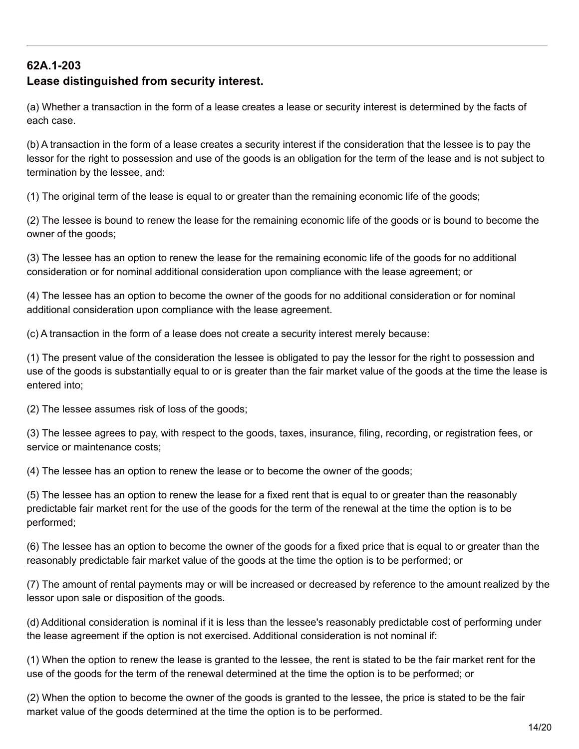# **62A.1-203**

## **Lease distinguished from security interest.**

(a) Whether a transaction in the form of a lease creates a lease or security interest is determined by the facts of each case.

(b) A transaction in the form of a lease creates a security interest if the consideration that the lessee is to pay the lessor for the right to possession and use of the goods is an obligation for the term of the lease and is not subject to termination by the lessee, and:

(1) The original term of the lease is equal to or greater than the remaining economic life of the goods;

(2) The lessee is bound to renew the lease for the remaining economic life of the goods or is bound to become the owner of the goods;

(3) The lessee has an option to renew the lease for the remaining economic life of the goods for no additional consideration or for nominal additional consideration upon compliance with the lease agreement; or

(4) The lessee has an option to become the owner of the goods for no additional consideration or for nominal additional consideration upon compliance with the lease agreement.

(c) A transaction in the form of a lease does not create a security interest merely because:

(1) The present value of the consideration the lessee is obligated to pay the lessor for the right to possession and use of the goods is substantially equal to or is greater than the fair market value of the goods at the time the lease is entered into;

(2) The lessee assumes risk of loss of the goods;

(3) The lessee agrees to pay, with respect to the goods, taxes, insurance, filing, recording, or registration fees, or service or maintenance costs;

(4) The lessee has an option to renew the lease or to become the owner of the goods;

(5) The lessee has an option to renew the lease for a fixed rent that is equal to or greater than the reasonably predictable fair market rent for the use of the goods for the term of the renewal at the time the option is to be performed;

(6) The lessee has an option to become the owner of the goods for a fixed price that is equal to or greater than the reasonably predictable fair market value of the goods at the time the option is to be performed; or

(7) The amount of rental payments may or will be increased or decreased by reference to the amount realized by the lessor upon sale or disposition of the goods.

(d) Additional consideration is nominal if it is less than the lessee's reasonably predictable cost of performing under the lease agreement if the option is not exercised. Additional consideration is not nominal if:

(1) When the option to renew the lease is granted to the lessee, the rent is stated to be the fair market rent for the use of the goods for the term of the renewal determined at the time the option is to be performed; or

(2) When the option to become the owner of the goods is granted to the lessee, the price is stated to be the fair market value of the goods determined at the time the option is to be performed.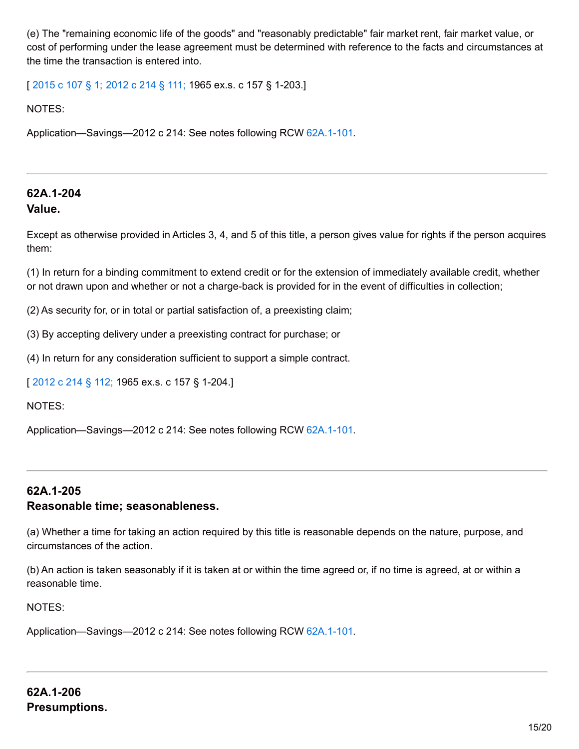(e) The "remaining economic life of the goods" and "reasonably predictable" fair market rent, fair market value, or cost of performing under the lease agreement must be determined with reference to the facts and circumstances at the time the transaction is entered into.

[ [2015](http://lawfilesext.leg.wa.gov/biennium/2015-16/Pdf/Bills/Session Laws/Senate/5032.SL.pdf?cite=2015 c 107 %C2%A7 1;) c 107 § 1; [2012](http://lawfilesext.leg.wa.gov/biennium/2011-12/Pdf/Bills/Session Laws/House/2197-S.SL.pdf?cite=2012 c 214 %C2%A7 111;) c 214 § 111; 1965 ex.s. c 157 § 1-203.]

NOTES:

Application—Savings—2012 c 214: See notes following RCW 62A.1-101.

## **62A.1-204 Value.**

Except as otherwise provided in Articles 3, 4, and 5 of this title, a person gives value for rights if the person acquires them:

(1) In return for a binding commitment to extend credit or for the extension of immediately available credit, whether or not drawn upon and whether or not a charge-back is provided for in the event of difficulties in collection;

(2) As security for, or in total or partial satisfaction of, a preexisting claim;

(3) By accepting delivery under a preexisting contract for purchase; or

(4) In return for any consideration sufficient to support a simple contract.

[ [2012](http://lawfilesext.leg.wa.gov/biennium/2011-12/Pdf/Bills/Session Laws/House/2197-S.SL.pdf?cite=2012 c 214 %C2%A7 112;) c 214 § 112; 1965 ex.s. c 157 § 1-204.]

NOTES:

Application—Savings—2012 c 214: See notes following RCW 62A.1-101.

# **62A.1-205 Reasonable time; seasonableness.**

(a) Whether a time for taking an action required by this title is reasonable depends on the nature, purpose, and circumstances of the action.

(b) An action is taken seasonably if it is taken at or within the time agreed or, if no time is agreed, at or within a reasonable time.

NOTES: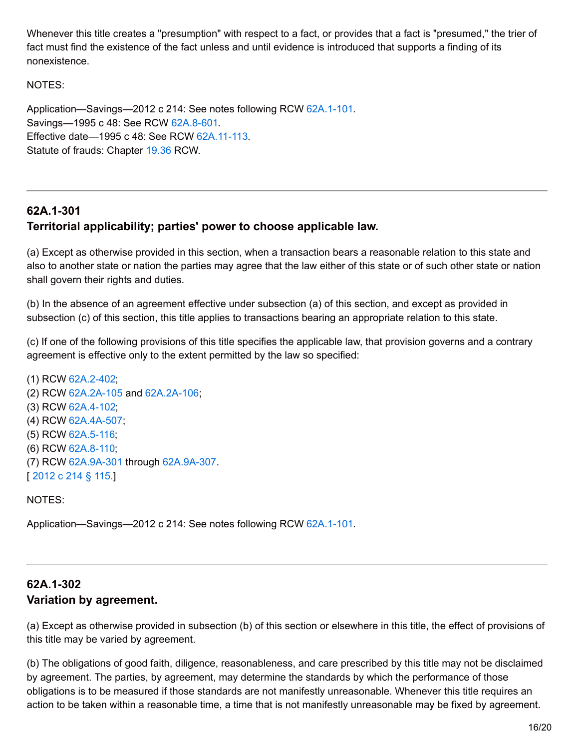Whenever this title creates a "presumption" with respect to a fact, or provides that a fact is "presumed," the trier of fact must find the existence of the fact unless and until evidence is introduced that supports a finding of its nonexistence.

#### NOTES:

Application—Savings—2012 c 214: See notes following RCW 62A.1-101. Savings—1995 c 48: See RCW [62A.8-601](http://app.leg.wa.gov/RCW/default.aspx?cite=62A.8-601). Effective date—1995 c 48: See RCW [62A.11-113.](http://app.leg.wa.gov/RCW/default.aspx?cite=62A.11-113) Statute of frauds: Chapter [19.36](http://app.leg.wa.gov/RCW/default.aspx?cite=19.36) RCW.

# **62A.1-301 Territorial applicability; parties' power to choose applicable law.**

(a) Except as otherwise provided in this section, when a transaction bears a reasonable relation to this state and also to another state or nation the parties may agree that the law either of this state or of such other state or nation shall govern their rights and duties.

(b) In the absence of an agreement effective under subsection (a) of this section, and except as provided in subsection (c) of this section, this title applies to transactions bearing an appropriate relation to this state.

(c) If one of the following provisions of this title specifies the applicable law, that provision governs and a contrary agreement is effective only to the extent permitted by the law so specified:

(1) RCW [62A.2-402](http://app.leg.wa.gov/RCW/default.aspx?cite=62A.2-402); (2) RCW [62A.2A-105](http://app.leg.wa.gov/RCW/default.aspx?cite=62A.2A-105) and [62A.2A-106](http://app.leg.wa.gov/RCW/default.aspx?cite=62A.2A-106); (3) RCW [62A.4-102](http://app.leg.wa.gov/RCW/default.aspx?cite=62A.4-102); (4) RCW [62A.4A-507](http://app.leg.wa.gov/RCW/default.aspx?cite=62A.4A-507); (5) RCW [62A.5-116](http://app.leg.wa.gov/RCW/default.aspx?cite=62A.5-116); (6) RCW [62A.8-110](http://app.leg.wa.gov/RCW/default.aspx?cite=62A.8-110); (7) RCW [62A.9A-301](http://app.leg.wa.gov/RCW/default.aspx?cite=62A.9A-301) through [62A.9A-307](http://app.leg.wa.gov/RCW/default.aspx?cite=62A.9A-307). [ [2012](http://lawfilesext.leg.wa.gov/biennium/2011-12/Pdf/Bills/Session Laws/House/2197-S.SL.pdf?cite=2012 c 214 %C2%A7 115.) c 214 § 115.]

NOTES:

Application—Savings—2012 c 214: See notes following RCW 62A.1-101.

# **62A.1-302 Variation by agreement.**

(a) Except as otherwise provided in subsection (b) of this section or elsewhere in this title, the effect of provisions of this title may be varied by agreement.

(b) The obligations of good faith, diligence, reasonableness, and care prescribed by this title may not be disclaimed by agreement. The parties, by agreement, may determine the standards by which the performance of those obligations is to be measured if those standards are not manifestly unreasonable. Whenever this title requires an action to be taken within a reasonable time, a time that is not manifestly unreasonable may be fixed by agreement.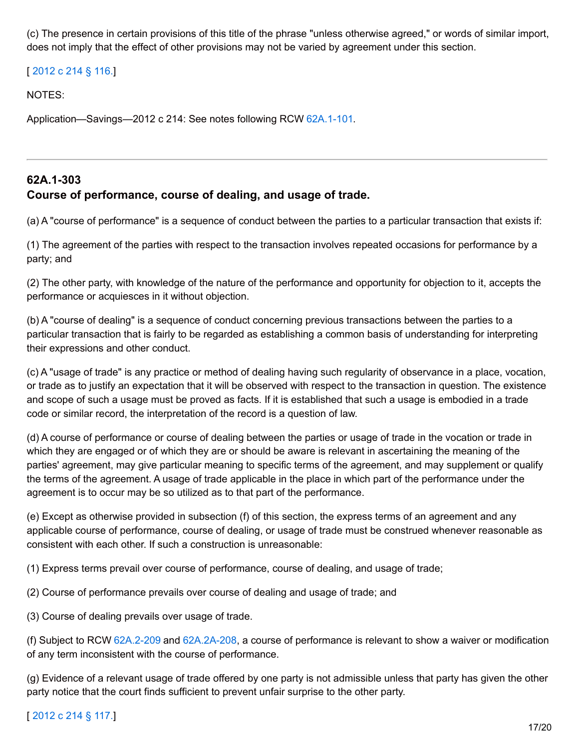(c) The presence in certain provisions of this title of the phrase "unless otherwise agreed," or words of similar import, does not imply that the effect of other provisions may not be varied by agreement under this section.

[ [2012](http://lawfilesext.leg.wa.gov/biennium/2011-12/Pdf/Bills/Session Laws/House/2197-S.SL.pdf?cite=2012 c 214 %C2%A7 116.) c 214 § 116.]

NOTES:

Application—Savings—2012 c 214: See notes following RCW 62A.1-101.

# **62A.1-303 Course of performance, course of dealing, and usage of trade.**

(a) A "course of performance" is a sequence of conduct between the parties to a particular transaction that exists if:

(1) The agreement of the parties with respect to the transaction involves repeated occasions for performance by a party; and

(2) The other party, with knowledge of the nature of the performance and opportunity for objection to it, accepts the performance or acquiesces in it without objection.

(b) A "course of dealing" is a sequence of conduct concerning previous transactions between the parties to a particular transaction that is fairly to be regarded as establishing a common basis of understanding for interpreting their expressions and other conduct.

(c) A "usage of trade" is any practice or method of dealing having such regularity of observance in a place, vocation, or trade as to justify an expectation that it will be observed with respect to the transaction in question. The existence and scope of such a usage must be proved as facts. If it is established that such a usage is embodied in a trade code or similar record, the interpretation of the record is a question of law.

(d) A course of performance or course of dealing between the parties or usage of trade in the vocation or trade in which they are engaged or of which they are or should be aware is relevant in ascertaining the meaning of the parties' agreement, may give particular meaning to specific terms of the agreement, and may supplement or qualify the terms of the agreement. A usage of trade applicable in the place in which part of the performance under the agreement is to occur may be so utilized as to that part of the performance.

(e) Except as otherwise provided in subsection (f) of this section, the express terms of an agreement and any applicable course of performance, course of dealing, or usage of trade must be construed whenever reasonable as consistent with each other. If such a construction is unreasonable:

(1) Express terms prevail over course of performance, course of dealing, and usage of trade;

(2) Course of performance prevails over course of dealing and usage of trade; and

(3) Course of dealing prevails over usage of trade.

(f) Subject to RCW [62A.2-209](http://app.leg.wa.gov/RCW/default.aspx?cite=62A.2-209) and [62A.2A-208](http://app.leg.wa.gov/RCW/default.aspx?cite=62A.2A-208), a course of performance is relevant to show a waiver or modification of any term inconsistent with the course of performance.

(g) Evidence of a relevant usage of trade offered by one party is not admissible unless that party has given the other party notice that the court finds sufficient to prevent unfair surprise to the other party.

## [ [2012](http://lawfilesext.leg.wa.gov/biennium/2011-12/Pdf/Bills/Session Laws/House/2197-S.SL.pdf?cite=2012 c 214 %C2%A7 117.) c 214 § 117.]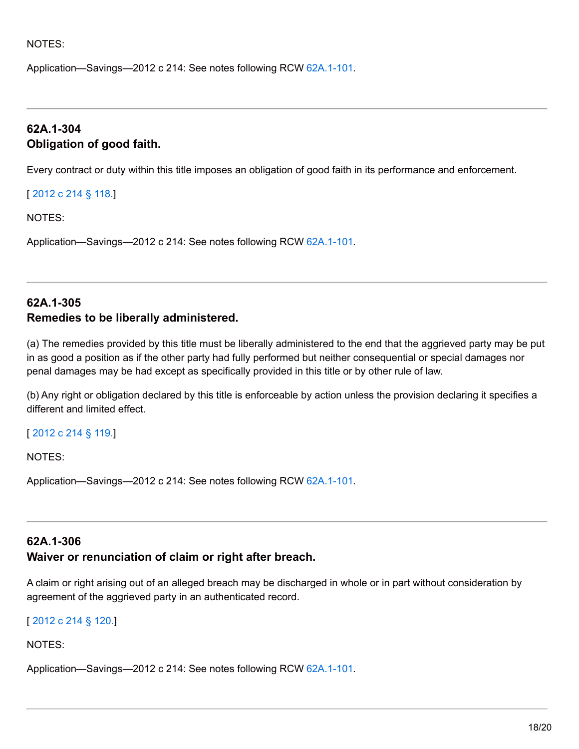#### NOTES:

Application—Savings—2012 c 214: See notes following RCW 62A.1-101.

## **62A.1-304 Obligation of good faith.**

Every contract or duty within this title imposes an obligation of good faith in its performance and enforcement.

[ [2012](http://lawfilesext.leg.wa.gov/biennium/2011-12/Pdf/Bills/Session Laws/House/2197-S.SL.pdf?cite=2012 c 214 %C2%A7 118.) c 214 § 118.]

NOTES:

Application—Savings—2012 c 214: See notes following RCW 62A.1-101.

## **62A.1-305 Remedies to be liberally administered.**

(a) The remedies provided by this title must be liberally administered to the end that the aggrieved party may be put in as good a position as if the other party had fully performed but neither consequential or special damages nor penal damages may be had except as specifically provided in this title or by other rule of law.

(b) Any right or obligation declared by this title is enforceable by action unless the provision declaring it specifies a different and limited effect.

#### [ [2012](http://lawfilesext.leg.wa.gov/biennium/2011-12/Pdf/Bills/Session Laws/House/2197-S.SL.pdf?cite=2012 c 214 %C2%A7 119.) c 214 § 119.]

NOTES:

Application—Savings—2012 c 214: See notes following RCW 62A.1-101.

#### **62A.1-306**

#### **Waiver or renunciation of claim or right after breach.**

A claim or right arising out of an alleged breach may be discharged in whole or in part without consideration by agreement of the aggrieved party in an authenticated record.

[ [2012](http://lawfilesext.leg.wa.gov/biennium/2011-12/Pdf/Bills/Session Laws/House/2197-S.SL.pdf?cite=2012 c 214 %C2%A7 120.) c 214 § 120.]

NOTES: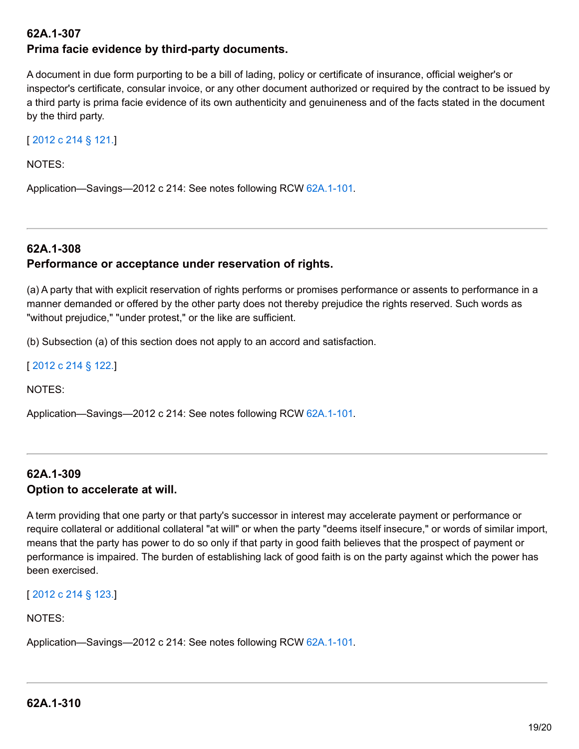# **62A.1-307 Prima facie evidence by third-party documents.**

A document in due form purporting to be a bill of lading, policy or certificate of insurance, official weigher's or inspector's certificate, consular invoice, or any other document authorized or required by the contract to be issued by a third party is prima facie evidence of its own authenticity and genuineness and of the facts stated in the document by the third party.

## [ [2012](http://lawfilesext.leg.wa.gov/biennium/2011-12/Pdf/Bills/Session Laws/House/2197-S.SL.pdf?cite=2012 c 214 %C2%A7 121.) c 214 § 121.]

NOTES:

Application—Savings—2012 c 214: See notes following RCW 62A.1-101.

# **62A.1-308 Performance or acceptance under reservation of rights.**

(a) A party that with explicit reservation of rights performs or promises performance or assents to performance in a manner demanded or offered by the other party does not thereby prejudice the rights reserved. Such words as "without prejudice," "under protest," or the like are sufficient.

(b) Subsection (a) of this section does not apply to an accord and satisfaction.

[ [2012](http://lawfilesext.leg.wa.gov/biennium/2011-12/Pdf/Bills/Session Laws/House/2197-S.SL.pdf?cite=2012 c 214 %C2%A7 122.) c 214 § 122.]

NOTES:

Application—Savings—2012 c 214: See notes following RCW 62A.1-101.

## **62A.1-309 Option to accelerate at will.**

A term providing that one party or that party's successor in interest may accelerate payment or performance or require collateral or additional collateral "at will" or when the party "deems itself insecure," or words of similar import, means that the party has power to do so only if that party in good faith believes that the prospect of payment or performance is impaired. The burden of establishing lack of good faith is on the party against which the power has been exercised.

## [ [2012](http://lawfilesext.leg.wa.gov/biennium/2011-12/Pdf/Bills/Session Laws/House/2197-S.SL.pdf?cite=2012 c 214 %C2%A7 123.) c 214 § 123.]

#### NOTES: